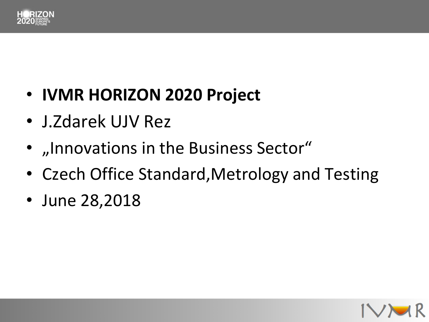

#### • **IVMR HORIZON 2020 Project**

- J.Zdarek UJV Rez
- "Innovations in the Business Sector"
- Czech Office Standard,Metrology and Testing
- June 28,2018

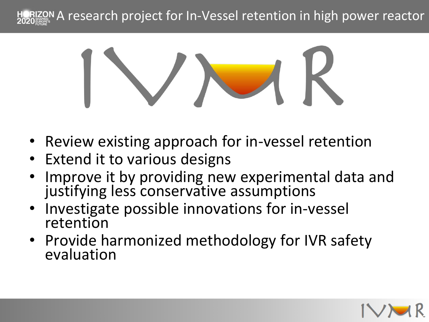



- Review existing approach for in-vessel retention
- Extend it to various designs
- Improve it by providing new experimental data and justifying less conservative assumptions
- Investigate possible innovations for in-vessel retention
- Provide harmonized methodology for IVR safety evaluation

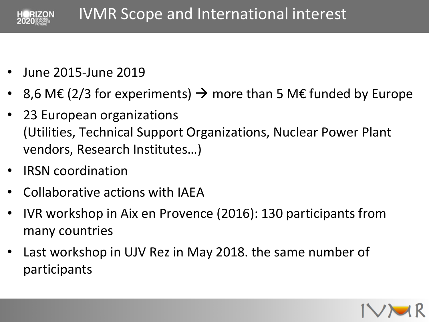

- June 2015-June 2019
- 8,6 M€ (2/3 for experiments)  $\rightarrow$  more than 5 M€ funded by Europe
- 23 European organizations (Utilities, Technical Support Organizations, Nuclear Power Plant vendors, Research Institutes…)
- IRSN coordination
- Collaborative actions with IAEA
- IVR workshop in Aix en Provence (2016): 130 participants from many countries
- Last workshop in UJV Rez in May 2018. the same number of participants

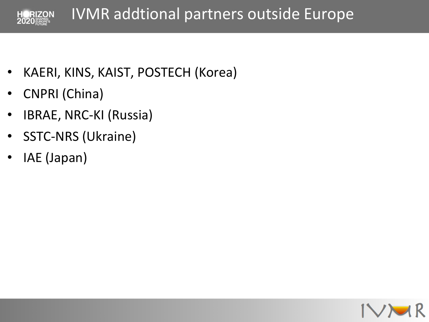

- KAERI, KINS, KAIST, POSTECH (Korea)
- CNPRI (China)
- IBRAE, NRC-KI (Russia)
- SSTC-NRS (Ukraine)
- IAE (Japan)

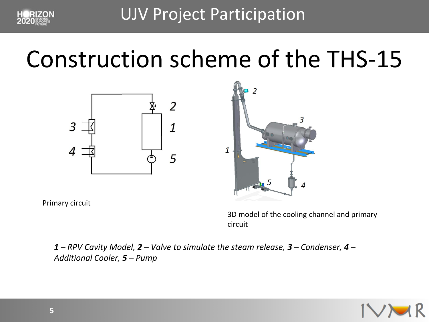

UJV Project Participation

## Construction scheme of the THS-15





Primary circuit

3D model of the cooling channel and primary circuit

*1 – RPV Cavity Model, 2 – Valve to simulate the steam release, 3 – Condenser, 4 – Additional Cooler, 5 – Pump*

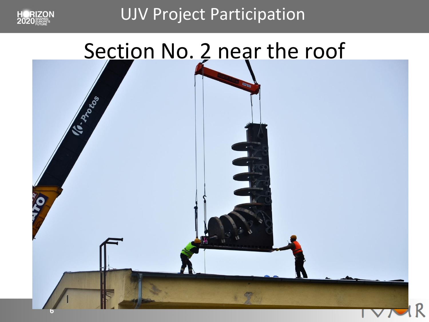

UJV Project Participation

#### Section No. 2 near the roof



**6**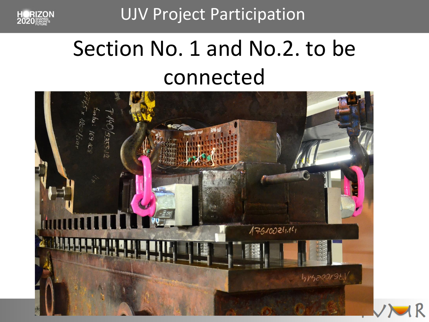UJV Project Participation



## Section No. 1 and No. 2. to be connected

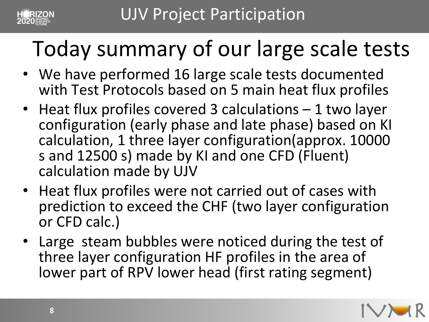

# Today summary of our large scale tests

- We have performed 16 large scale tests documented with Test Protocols based on 5 main heat flux profiles
- Heat flux profiles covered 3 calculations 1 two layer configuration (early phase and late phase) based on KI calculation, 1 three layer configuration(approx. 10000 s and 12500 s) made by KI and one CFD (Fluent) calculation made by UJV
- Heat flux profiles were not carried out of cases with prediction to exceed the CHF (two layer configuration or CFD calc.)
- Large steam bubbles were noticed during the test of three layer configuration HF profiles in the area of lower part of RPV lower head (first rating segment)

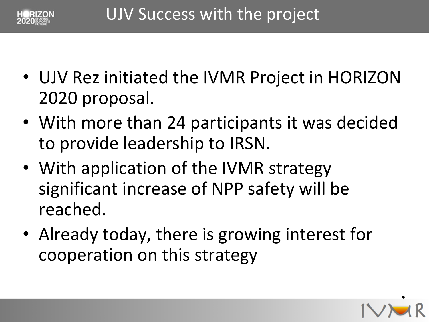

- UJV Rez initiated the IVMR Project in HORIZON 2020 proposal.
- to provide leadership to IRSN. • With more than 24 participants it was decided
- With application of the IVMR strategy significant increase of NPP safety will be reached.
- Already today, there is growing interest for cooperation on this strategy